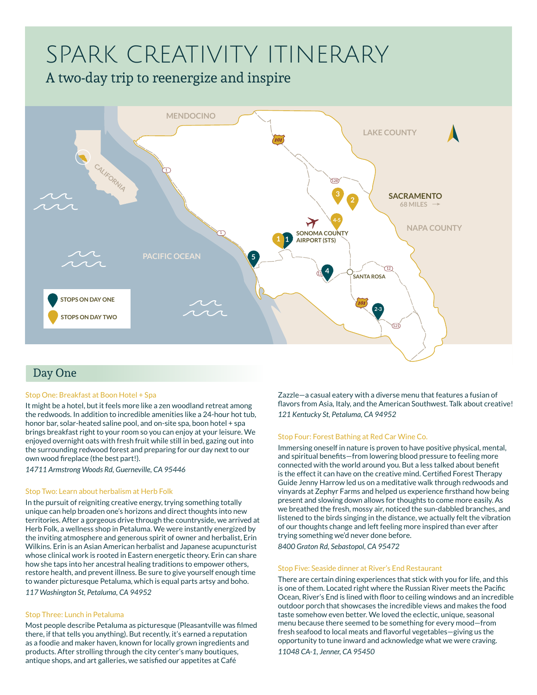# SPARK CREATIVITY ITINERARY

# A two-day trip to reenergize and inspire



# Day One

# Stop One: Breakfast at Boon Hotel + Spa

It might be a hotel, but it feels more like a zen woodland retreat among the redwoods. In addition to incredible amenities like a 24-hour hot tub, honor bar, solar-heated saline pool, and on-site spa, boon hotel + spa brings breakfast right to your room so you can enjoy at your leisure. We enjoyed overnight oats with fresh fruit while still in bed, gazing out into the surrounding redwood forest and preparing for our day next to our own wood fireplace (the best part!).

*14711 Armstrong Woods Rd, Guerneville, CA 95446*

## Stop Two: Learn about herbalism at Herb Folk

In the pursuit of reigniting creative energy, trying something totally unique can help broaden one's horizons and direct thoughts into new territories. After a gorgeous drive through the countryside, we arrived at Herb Folk, a wellness shop in Petaluma. We were instantly energized by the inviting atmosphere and generous spirit of owner and herbalist, Erin Wilkins. Erin is an Asian American herbalist and Japanese acupuncturist whose clinical work is rooted in Eastern energetic theory. Erin can share how she taps into her ancestral healing traditions to empower others, restore health, and prevent illness. Be sure to give yourself enough time to wander picturesque Petaluma, which is equal parts artsy and boho. *117 Washington St, Petaluma, CA 94952*

## Stop Three: Lunch in Petaluma

Most people describe Petaluma as picturesque (Pleasantville was filmed there, if that tells you anything). But recently, it's earned a reputation as a foodie and maker haven, known for locally grown ingredients and products. After strolling through the city center's many boutiques, antique shops, and art galleries, we satisfied our appetites at Café

Zazzle—a casual eatery with a diverse menu that features a fusian of flavors from Asia, Italy, and the American Southwest. Talk about creative! *121 Kentucky St, Petaluma, CA 94952*

## Stop Four: Forest Bathing at Red Car Wine Co.

Immersing oneself in nature is proven to have positive physical, mental, and spiritual benefits—from lowering blood pressure to feeling more connected with the world around you. But a less talked about benefit is the effect it can have on the creative mind. Certified Forest Therapy Guide Jenny Harrow led us on a meditative walk through redwoods and vinyards at Zephyr Farms and helped us experience firsthand how being present and slowing down allows for thoughts to come more easily. As we breathed the fresh, mossy air, noticed the sun-dabbled branches, and listened to the birds singing in the distance, we actually felt the vibration of our thoughts change and left feeling more inspired than ever after trying something we'd never done before. *8400 Graton Rd, Sebastopol, CA 95472*

#### Stop Five: Seaside dinner at River's End Restaurant

There are certain dining experiences that stick with you for life, and this is one of them. Located right where the Russian River meets the Pacific Ocean, River's End is lined with floor to ceiling windows and an incredible outdoor porch that showcases the incredible views and makes the food taste somehow even better. We loved the eclectic, unique, seasonal menu because there seemed to be something for every mood—from fresh seafood to local meats and flavorful vegetables—giving us the opportunity to tune inward and acknowledge what we were craving. *11048 CA-1, Jenner, CA 95450*